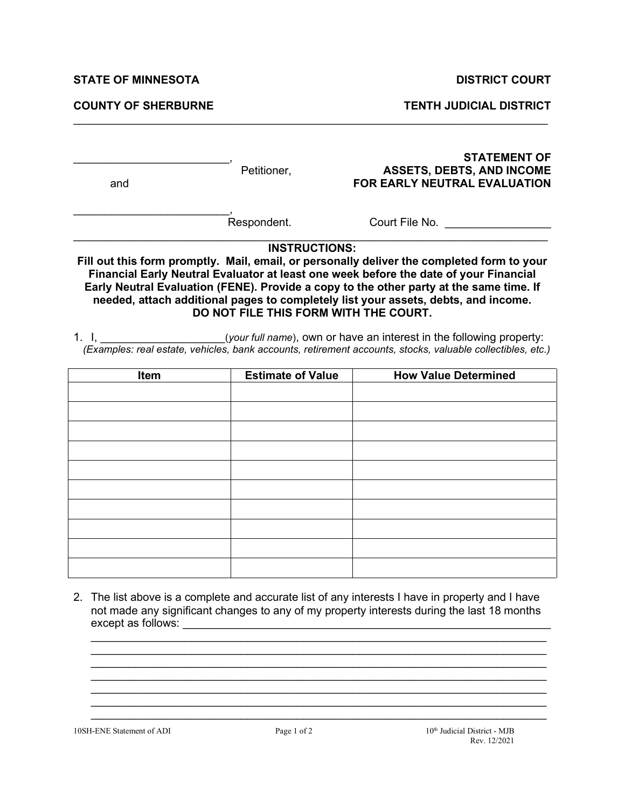**STATE OF MINNESOTA DISTRICT COURT** 

**COUNTY OF SHERBURNE TENTH JUDICIAL DISTRICT**

| and                              | Petitioner,                           | <b>STATEMENT OF</b><br><b>ASSETS, DEBTS, AND INCOME</b><br><b>FOR EARLY NEUTRAL EVALUATION</b>                                                                                                                                                                                                                                                                                                                                                                                                                                                                      |
|----------------------------------|---------------------------------------|---------------------------------------------------------------------------------------------------------------------------------------------------------------------------------------------------------------------------------------------------------------------------------------------------------------------------------------------------------------------------------------------------------------------------------------------------------------------------------------------------------------------------------------------------------------------|
|                                  | Respondent.                           | Court File No.                                                                                                                                                                                                                                                                                                                                                                                                                                                                                                                                                      |
|                                  | <b>INSTRUCTIONS:</b>                  |                                                                                                                                                                                                                                                                                                                                                                                                                                                                                                                                                                     |
| 1. $\mathbf{L}$ and $\mathbf{L}$ | DO NOT FILE THIS FORM WITH THE COURT. | Fill out this form promptly. Mail, email, or personally deliver the completed form to your<br>Financial Early Neutral Evaluator at least one week before the date of your Financial<br>Early Neutral Evaluation (FENE). Provide a copy to the other party at the same time. If<br>needed, attach additional pages to completely list your assets, debts, and income.<br>( <i>your full name</i> ), own or have an interest in the following property:<br>(Examples: real estate, vehicles, bank accounts, retirement accounts, stocks, valuable collectibles, etc.) |
| <b>Item</b>                      | <b>Estimate of Value</b>              | <b>How Value Determined</b>                                                                                                                                                                                                                                                                                                                                                                                                                                                                                                                                         |
|                                  |                                       |                                                                                                                                                                                                                                                                                                                                                                                                                                                                                                                                                                     |
|                                  |                                       |                                                                                                                                                                                                                                                                                                                                                                                                                                                                                                                                                                     |
|                                  |                                       |                                                                                                                                                                                                                                                                                                                                                                                                                                                                                                                                                                     |
|                                  |                                       |                                                                                                                                                                                                                                                                                                                                                                                                                                                                                                                                                                     |
|                                  |                                       |                                                                                                                                                                                                                                                                                                                                                                                                                                                                                                                                                                     |
|                                  |                                       |                                                                                                                                                                                                                                                                                                                                                                                                                                                                                                                                                                     |

 $\mathcal{L}_\mathcal{L} = \{ \mathcal{L}_\mathcal{L} = \{ \mathcal{L}_\mathcal{L} = \{ \mathcal{L}_\mathcal{L} = \{ \mathcal{L}_\mathcal{L} = \{ \mathcal{L}_\mathcal{L} = \{ \mathcal{L}_\mathcal{L} = \{ \mathcal{L}_\mathcal{L} = \{ \mathcal{L}_\mathcal{L} = \{ \mathcal{L}_\mathcal{L} = \{ \mathcal{L}_\mathcal{L} = \{ \mathcal{L}_\mathcal{L} = \{ \mathcal{L}_\mathcal{L} = \{ \mathcal{L}_\mathcal{L} = \{ \mathcal{L}_\mathcal{$ 

2. The list above is a complete and accurate list of any interests I have in property and I have not made any significant changes to any of my property interests during the last 18 months except as follows: \_\_\_\_\_\_\_\_\_\_\_\_\_\_\_\_\_\_\_\_\_\_\_\_\_\_\_\_\_\_\_\_\_\_\_\_\_\_\_\_\_\_\_\_\_\_\_\_\_\_\_\_\_\_\_\_\_\_\_

 $\_$  , and the set of the set of the set of the set of the set of the set of the set of the set of the set of the set of the set of the set of the set of the set of the set of the set of the set of the set of the set of th  $\_$  , and the set of the set of the set of the set of the set of the set of the set of the set of the set of the set of the set of the set of the set of the set of the set of the set of the set of the set of the set of th  $\_$  , and the set of the set of the set of the set of the set of the set of the set of the set of the set of the set of the set of the set of the set of the set of the set of the set of the set of the set of the set of th

 $\mathcal{L}_\mathcal{L} = \mathcal{L}_\mathcal{L} = \mathcal{L}_\mathcal{L} = \mathcal{L}_\mathcal{L} = \mathcal{L}_\mathcal{L} = \mathcal{L}_\mathcal{L} = \mathcal{L}_\mathcal{L} = \mathcal{L}_\mathcal{L} = \mathcal{L}_\mathcal{L} = \mathcal{L}_\mathcal{L} = \mathcal{L}_\mathcal{L} = \mathcal{L}_\mathcal{L} = \mathcal{L}_\mathcal{L} = \mathcal{L}_\mathcal{L} = \mathcal{L}_\mathcal{L} = \mathcal{L}_\mathcal{L} = \mathcal{L}_\mathcal{L}$